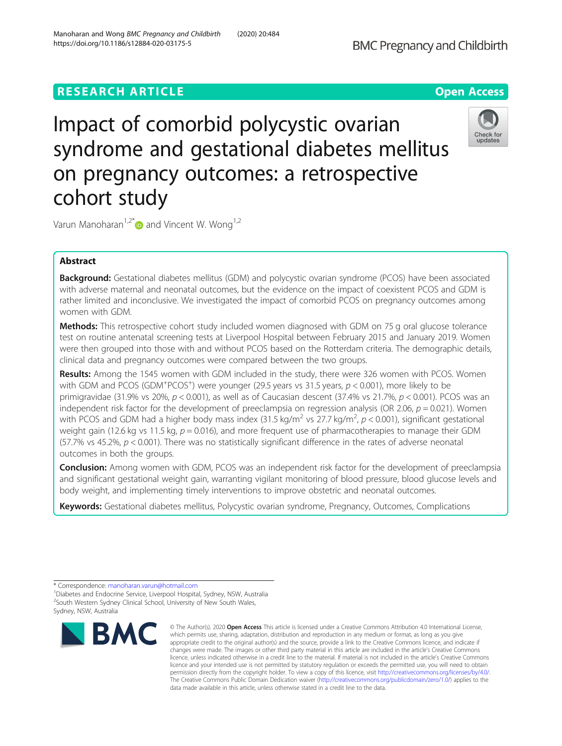cohort study

# Impact of comorbid polycystic ovarian syndrome and gestational diabetes mellitus on pregnancy outcomes: a retrospective

Varun Manoharan<sup>1,2\*</sup> and Vincent W. Wong<sup>1,2</sup>

## Abstract

Background: Gestational diabetes mellitus (GDM) and polycystic ovarian syndrome (PCOS) have been associated with adverse maternal and neonatal outcomes, but the evidence on the impact of coexistent PCOS and GDM is rather limited and inconclusive. We investigated the impact of comorbid PCOS on pregnancy outcomes among women with GDM.

Methods: This retrospective cohort study included women diagnosed with GDM on 75 g oral glucose tolerance test on routine antenatal screening tests at Liverpool Hospital between February 2015 and January 2019. Women were then grouped into those with and without PCOS based on the Rotterdam criteria. The demographic details, clinical data and pregnancy outcomes were compared between the two groups.

Results: Among the 1545 women with GDM included in the study, there were 326 women with PCOS. Women with GDM and PCOS (GDM<sup>+</sup>PCOS<sup>+</sup>) were younger (29.5 years vs 31.5 years,  $p < 0.001$ ), more likely to be primigravidae (31.9% vs 20%,  $p < 0.001$ ), as well as of Caucasian descent (37.4% vs 21.7%,  $p < 0.001$ ). PCOS was an independent risk factor for the development of preeclampsia on regression analysis (OR 2.06,  $p = 0.021$ ). Women with PCOS and GDM had a higher body mass index (31.5 kg/m<sup>2</sup> vs 27.7 kg/m<sup>2</sup>, p < 0.001), significant gestational weight gain (12.6 kg vs 11.5 kg,  $p = 0.016$ ), and more frequent use of pharmacotherapies to manage their GDM (57.7% vs 45.2%, p < 0.001). There was no statistically significant difference in the rates of adverse neonatal outcomes in both the groups.

**Conclusion:** Among women with GDM, PCOS was an independent risk factor for the development of preeclampsia and significant gestational weight gain, warranting vigilant monitoring of blood pressure, blood glucose levels and body weight, and implementing timely interventions to improve obstetric and neonatal outcomes.

data made available in this article, unless otherwise stated in a credit line to the data.

© The Author(s), 2020 **Open Access** This article is licensed under a Creative Commons Attribution 4.0 International License,

The Creative Commons Public Domain Dedication waiver [\(http://creativecommons.org/publicdomain/zero/1.0/](http://creativecommons.org/publicdomain/zero/1.0/)) applies to the

Keywords: Gestational diabetes mellitus, Polycystic ovarian syndrome, Pregnancy, Outcomes, Complications







<sup>\*</sup> Correspondence: [manoharan.varun@hotmail.com](mailto:manoharan.varun@hotmail.com) <sup>1</sup>

<sup>&</sup>lt;sup>1</sup> Diabetes and Endocrine Service, Liverpool Hospital, Sydney, NSW, Australia <sup>2</sup>South Western Sydney Clinical School, University of New South Wales, Sydney, NSW, Australia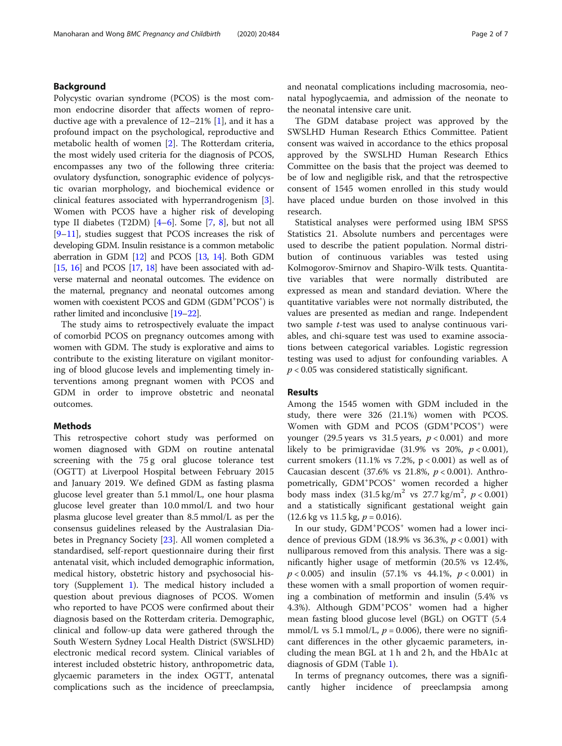## Background

Polycystic ovarian syndrome (PCOS) is the most common endocrine disorder that affects women of reproductive age with a prevalence of  $12-21\%$  [[1\]](#page-6-0), and it has a profound impact on the psychological, reproductive and metabolic health of women [\[2](#page-6-0)]. The Rotterdam criteria, the most widely used criteria for the diagnosis of PCOS, encompasses any two of the following three criteria: ovulatory dysfunction, sonographic evidence of polycystic ovarian morphology, and biochemical evidence or clinical features associated with hyperrandrogenism [\[3](#page-6-0)]. Women with PCOS have a higher risk of developing type II diabetes (T2DM)  $[4-6]$  $[4-6]$  $[4-6]$ . Some  $[7, 8]$  $[7, 8]$  $[7, 8]$  $[7, 8]$ , but not all [[9](#page-6-0)–[11\]](#page-6-0), studies suggest that PCOS increases the risk of developing GDM. Insulin resistance is a common metabolic aberration in GDM [\[12\]](#page-6-0) and PCOS [\[13](#page-6-0), [14](#page-6-0)]. Both GDM [[15](#page-6-0), [16](#page-6-0)] and PCOS  $[17, 18]$  $[17, 18]$  $[17, 18]$  have been associated with adverse maternal and neonatal outcomes. The evidence on the maternal, pregnancy and neonatal outcomes among women with coexistent PCOS and GDM (GDM<sup>+</sup>PCOS<sup>+</sup>) is rather limited and inconclusive [[19](#page-6-0)–[22](#page-6-0)].

The study aims to retrospectively evaluate the impact of comorbid PCOS on pregnancy outcomes among with women with GDM. The study is explorative and aims to contribute to the existing literature on vigilant monitoring of blood glucose levels and implementing timely interventions among pregnant women with PCOS and GDM in order to improve obstetric and neonatal outcomes.

## Methods

This retrospective cohort study was performed on women diagnosed with GDM on routine antenatal screening with the 75 g oral glucose tolerance test (OGTT) at Liverpool Hospital between February 2015 and January 2019. We defined GDM as fasting plasma glucose level greater than 5.1 mmol/L, one hour plasma glucose level greater than 10.0 mmol/L and two hour plasma glucose level greater than 8.5 mmol/L as per the consensus guidelines released by the Australasian Diabetes in Pregnancy Society [\[23](#page-6-0)]. All women completed a standardised, self-report questionnaire during their first antenatal visit, which included demographic information, medical history, obstetric history and psychosocial history (Supplement [1](#page-5-0)). The medical history included a question about previous diagnoses of PCOS. Women who reported to have PCOS were confirmed about their diagnosis based on the Rotterdam criteria. Demographic, clinical and follow-up data were gathered through the South Western Sydney Local Health District (SWSLHD) electronic medical record system. Clinical variables of interest included obstetric history, anthropometric data, glycaemic parameters in the index OGTT, antenatal complications such as the incidence of preeclampsia, and neonatal complications including macrosomia, neonatal hypoglycaemia, and admission of the neonate to the neonatal intensive care unit.

The GDM database project was approved by the SWSLHD Human Research Ethics Committee. Patient consent was waived in accordance to the ethics proposal approved by the SWSLHD Human Research Ethics Committee on the basis that the project was deemed to be of low and negligible risk, and that the retrospective consent of 1545 women enrolled in this study would have placed undue burden on those involved in this research.

Statistical analyses were performed using IBM SPSS Statistics 21. Absolute numbers and percentages were used to describe the patient population. Normal distribution of continuous variables was tested using Kolmogorov-Smirnov and Shapiro-Wilk tests. Quantitative variables that were normally distributed are expressed as mean and standard deviation. Where the quantitative variables were not normally distributed, the values are presented as median and range. Independent two sample t-test was used to analyse continuous variables, and chi-square test was used to examine associations between categorical variables. Logistic regression testing was used to adjust for confounding variables. A  $p < 0.05$  was considered statistically significant.

#### Results

Among the 1545 women with GDM included in the study, there were 326 (21.1%) women with PCOS. Women with GDM and PCOS (GDM<sup>+</sup>PCOS<sup>+</sup>) were younger (29.5 years vs  $31.5$  years,  $p < 0.001$ ) and more likely to be primigravidae  $(31.9\% \text{ vs } 20\%, \text{ p} < 0.001)$ , current smokers (11.1% vs  $7.2\%$ ,  $p < 0.001$ ) as well as of Caucasian descent (37.6% vs 21.8%,  $p < 0.001$ ). Anthropometrically, GDM<sup>+</sup>PCOS<sup>+</sup> women recorded a higher body mass index  $(31.5 \text{ kg/m}^2 \text{ vs } 27.7 \text{ kg/m}^2, p < 0.001)$ and a statistically significant gestational weight gain  $(12.6 \text{ kg vs } 11.5 \text{ kg}, p = 0.016).$ 

In our study, GDM<sup>+</sup>PCOS<sup>+</sup> women had a lower incidence of previous GDM (18.9% vs 36.3%,  $p < 0.001$ ) with nulliparous removed from this analysis. There was a significantly higher usage of metformin (20.5% vs 12.4%,  $p < 0.005$ ) and insulin (57.1% vs 44.1%,  $p < 0.001$ ) in these women with a small proportion of women requiring a combination of metformin and insulin (5.4% vs 4.3%). Although GDM<sup>+</sup>PCOS<sup>+</sup> women had a higher mean fasting blood glucose level (BGL) on OGTT (5.4 mmol/L vs 5.1 mmol/L,  $p = 0.006$ ), there were no significant differences in the other glycaemic parameters, including the mean BGL at 1 h and 2 h, and the HbA1c at diagnosis of GDM (Table [1\)](#page-2-0).

In terms of pregnancy outcomes, there was a significantly higher incidence of preeclampsia among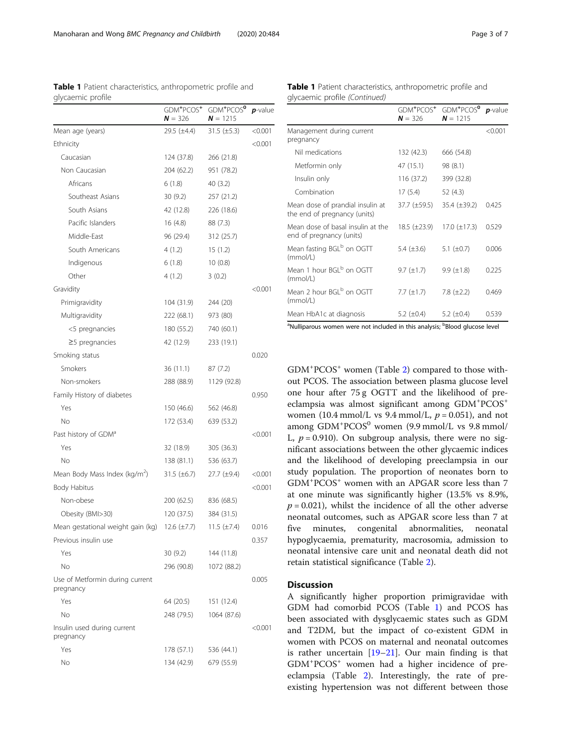| gly caerine prome                            | GDM <sup>+</sup> PCOS <sup>+</sup><br>$N = 326$ | GDM <sup>+</sup> PCOS <sup>0</sup><br>$N = 1215$ | $p$ -value |
|----------------------------------------------|-------------------------------------------------|--------------------------------------------------|------------|
| Mean age (years)                             | 29.5 (±4.4)                                     | $31.5 \ (\pm 5.3)$                               | < 0.001    |
| Ethnicity                                    |                                                 |                                                  | < 0.001    |
| Caucasian                                    | 124 (37.8)                                      | 266 (21.8)                                       |            |
| Non Caucasian                                | 204 (62.2)                                      | 951 (78.2)                                       |            |
| Africans                                     | 6(1.8)                                          | 40(3.2)                                          |            |
| Southeast Asians                             | 30(9.2)                                         | 257 (21.2)                                       |            |
| South Asians                                 | 42 (12.8)                                       | 226 (18.6)                                       |            |
| Pacific Islanders                            | 16 (4.8)                                        | 88 (7.3)                                         |            |
| Middle-East                                  | 96 (29.4)                                       | 312 (25.7)                                       |            |
| South Americans                              | 4(1.2)                                          | 15(1.2)                                          |            |
| Indigenous                                   | 6 (1.8)                                         | 10(0.8)                                          |            |
| Other                                        | 4 (1.2)                                         | 3(0.2)                                           |            |
| Gravidity                                    |                                                 |                                                  | < 0.001    |
| Primigravidity                               | 104 (31.9)                                      | 244 (20)                                         |            |
| Multigravidity                               | 222 (68.1)                                      | 973 (80)                                         |            |
| <5 pregnancies                               | 180 (55.2)                                      | 740 (60.1)                                       |            |
| $\geq$ 5 pregnancies                         | 42 (12.9)                                       | 233 (19.1)                                       |            |
| Smoking status                               |                                                 |                                                  | 0.020      |
| Smokers                                      | 36 (11.1)                                       | 87(7.2)                                          |            |
| Non-smokers                                  | 288 (88.9)                                      | 1129 (92.8)                                      |            |
| Family History of diabetes                   |                                                 |                                                  | 0.950      |
| Yes                                          | 150 (46.6)                                      | 562 (46.8)                                       |            |
| No                                           | 172 (53.4)                                      | 639 (53.2)                                       |            |
| Past history of GDM <sup>a</sup>             |                                                 |                                                  | < 0.001    |
| Yes                                          | 32 (18.9)                                       | 305 (36.3)                                       |            |
| No                                           | 138 (81.1)                                      | 536 (63.7)                                       |            |
| Mean Body Mass Index (kg/m <sup>2</sup> )    | 31.5 $(\pm 6.7)$                                | 27.7 (±9.4)                                      | < 0.001    |
| <b>Body Habitus</b>                          |                                                 |                                                  | < 0.001    |
| Non-obese                                    | 200 (62.5)                                      | 836 (68.5)                                       |            |
| Obesity (BMI>30)                             | 120 (37.5)                                      | 384 (31.5)                                       |            |
| Mean gestational weight gain (kg)            | 12.6 $(\pm 7.7)$                                | 11.5 $(\pm 7.4)$                                 | 0.016      |
| Previous insulin use                         |                                                 |                                                  | 0.357      |
| Yes                                          | 30 (9.2)                                        | 144 (11.8)                                       |            |
| No                                           | 296 (90.8)                                      | 1072 (88.2)                                      |            |
| Use of Metformin during current<br>pregnancy |                                                 |                                                  | 0.005      |
| Yes                                          | 64 (20.5)                                       | 151 (12.4)                                       |            |
| Νo                                           | 248 (79.5)                                      | 1064 (87.6)                                      |            |
| Insulin used during current<br>pregnancy     |                                                 |                                                  | < 0.001    |
| Yes                                          | 178 (57.1)                                      | 536 (44.1)                                       |            |
| No                                           | 134 (42.9)                                      | 679 (55.9)                                       |            |

<span id="page-2-0"></span>

| <b>Table 1</b> Patient characteristics, anthropometric profile and | <b>Table 1</b> Patient characteristics, anthropometric profile and |
|--------------------------------------------------------------------|--------------------------------------------------------------------|
| glycaemic profile                                                  | glycaemic profile (Continued)                                      |

|                                                                  | $N = 326$         | GDM <sup>+</sup> PCOS <sup>+</sup> GDM <sup>+</sup> PCOS <sup>0</sup><br>$N = 1215$ | $p$ -value |
|------------------------------------------------------------------|-------------------|-------------------------------------------------------------------------------------|------------|
| Management during current<br>pregnancy                           |                   |                                                                                     | < 0.001    |
| Nil medications                                                  | 132 (42.3)        | 666 (54.8)                                                                          |            |
| Metformin only                                                   | 47 (15.1)         | 98 (8.1)                                                                            |            |
| Insulin only                                                     | 116 (37.2)        | 399 (32.8)                                                                          |            |
| Combination                                                      | 17(5.4)           | 52 (4.3)                                                                            |            |
| Mean dose of prandial insulin at<br>the end of pregnancy (units) | 37.7 (±59.5)      | $35.4 (\pm 39.2)$                                                                   | 0.425      |
| Mean dose of basal insulin at the<br>end of pregnancy (units)    | $18.5 (\pm 23.9)$ | $17.0 \ (\pm 17.3)$                                                                 | 0.529      |
| Mean fasting BGL <sup>b</sup> on OGTT<br>(mmol/L)                | 5.4 $(\pm 3.6)$   | 5.1 $(\pm 0.7)$                                                                     | 0.006      |
| Mean 1 hour BGL <sup>b</sup> on OGTT<br>(mmol/L)                 | $9.7 (\pm 1.7)$   | $9.9 \ (\pm 1.8)$                                                                   | 0.225      |
| Mean 2 hour BGL <sup>b</sup> on OGTT<br>(mmol/L)                 | 7.7 $(\pm 1.7)$   | 7.8 $(\pm 2.2)$                                                                     | 0.469      |
| Mean HbA1c at diagnosis                                          | 5.2 $(\pm 0.4)$   | 5.2 $(\pm 0.4)$                                                                     | 0.539      |

<sup>a</sup>Nulliparous women were not included in this analysis; <sup>b</sup>Blood glucose level

GDM<sup>+</sup> PCOS<sup>+</sup> women (Table [2\)](#page-4-0) compared to those without PCOS. The association between plasma glucose level one hour after 75 g OGTT and the likelihood of preeclampsia was almost significant among GDM<sup>+</sup>PCOS<sup>+</sup> women (10.4 mmol/L vs 9.4 mmol/L,  $p = 0.051$ ), and not among GDM<sup>+</sup>PCOS<sup>0</sup> women (9.9 mmol/L vs 9.8 mmol/ L,  $p = 0.910$ ). On subgroup analysis, there were no significant associations between the other glycaemic indices and the likelihood of developing preeclampsia in our study population. The proportion of neonates born to GDM<sup>+</sup> PCOS<sup>+</sup> women with an APGAR score less than 7 at one minute was significantly higher (13.5% vs 8.9%,  $p = 0.021$ , whilst the incidence of all the other adverse neonatal outcomes, such as APGAR score less than 7 at five minutes, congenital abnormalities, neonatal hypoglycaemia, prematurity, macrosomia, admission to neonatal intensive care unit and neonatal death did not retain statistical significance (Table [2\)](#page-4-0).

## **Discussion**

A significantly higher proportion primigravidae with GDM had comorbid PCOS (Table 1) and PCOS has been associated with dysglycaemic states such as GDM and T2DM, but the impact of co-existent GDM in women with PCOS on maternal and neonatal outcomes is rather uncertain [\[19](#page-6-0)–[21\]](#page-6-0). Our main finding is that GDM<sup>+</sup> PCOS<sup>+</sup> women had a higher incidence of preeclampsia (Table [2](#page-4-0)). Interestingly, the rate of preexisting hypertension was not different between those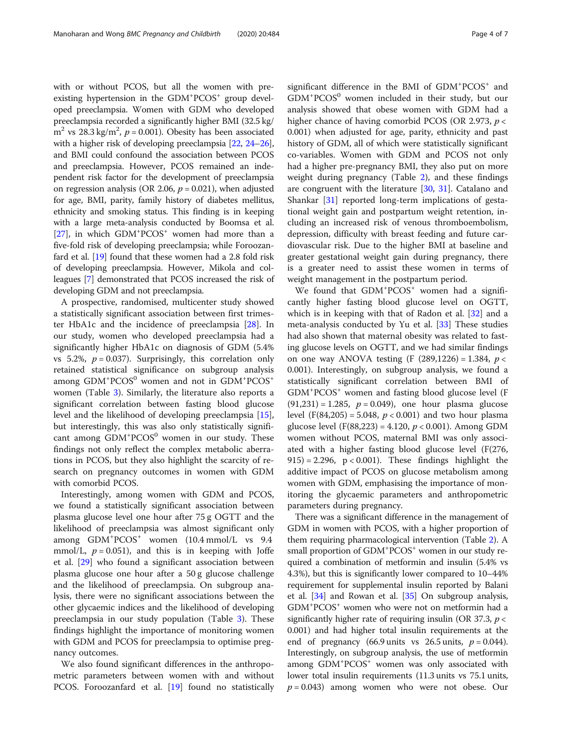with or without PCOS, but all the women with preexisting hypertension in the GDM<sup>+</sup>PCOS<sup>+</sup> group developed preeclampsia. Women with GDM who developed preeclampsia recorded a significantly higher BMI (32.5 kg/  $m^2$  vs 28.3 kg/m<sup>2</sup>,  $p = 0.001$ ). Obesity has been associated with a higher risk of developing preeclampsia [[22](#page-6-0), [24](#page-6-0)–[26](#page-6-0)], and BMI could confound the association between PCOS and preeclampsia. However, PCOS remained an independent risk factor for the development of preeclampsia on regression analysis (OR 2.06,  $p = 0.021$ ), when adjusted for age, BMI, parity, family history of diabetes mellitus, ethnicity and smoking status. This finding is in keeping with a large meta-analysis conducted by Boomsa et al. [[27](#page-6-0)], in which GDM<sup>+</sup>PCOS<sup>+</sup> women had more than a five-fold risk of developing preeclampsia; while Foroozanfard et al. [[19](#page-6-0)] found that these women had a 2.8 fold risk of developing preeclampsia. However, Mikola and colleagues [\[7\]](#page-6-0) demonstrated that PCOS increased the risk of developing GDM and not preeclampsia.

A prospective, randomised, multicenter study showed a statistically significant association between first trimester HbA1c and the incidence of preeclampsia [[28\]](#page-6-0). In our study, women who developed preeclampsia had a significantly higher HbA1c on diagnosis of GDM (5.4% vs 5.2%,  $p = 0.037$ ). Surprisingly, this correlation only retained statistical significance on subgroup analysis among  $GDM^+PCOS^0$  women and not in  $GDM^+PCOS^+$ women (Table [3](#page-5-0)). Similarly, the literature also reports a significant correlation between fasting blood glucose level and the likelihood of developing preeclampsia [\[15](#page-6-0)], but interestingly, this was also only statistically significant among  $GDM^+PCOS^0$  women in our study. These findings not only reflect the complex metabolic aberrations in PCOS, but they also highlight the scarcity of research on pregnancy outcomes in women with GDM with comorbid PCOS.

Interestingly, among women with GDM and PCOS, we found a statistically significant association between plasma glucose level one hour after 75 g OGTT and the likelihood of preeclampsia was almost significant only among GDM<sup>+</sup>PCOS<sup>+</sup> women (10.4 mmol/L vs 9.4 mmol/L,  $p = 0.051$ ), and this is in keeping with Joffe et al. [\[29](#page-6-0)] who found a significant association between plasma glucose one hour after a 50 g glucose challenge and the likelihood of preeclampsia. On subgroup analysis, there were no significant associations between the other glycaemic indices and the likelihood of developing preeclampsia in our study population (Table [3](#page-5-0)). These findings highlight the importance of monitoring women with GDM and PCOS for preeclampsia to optimise pregnancy outcomes.

We also found significant differences in the anthropometric parameters between women with and without PCOS. Foroozanfard et al. [[19\]](#page-6-0) found no statistically

significant difference in the BMI of GDM<sup>+</sup>PCOS<sup>+</sup> and GDM<sup>+</sup>PCOS<sup>0</sup> women included in their study, but our analysis showed that obese women with GDM had a higher chance of having comorbid PCOS (OR 2.973,  $p <$ 0.001) when adjusted for age, parity, ethnicity and past history of GDM, all of which were statistically significant co-variables. Women with GDM and PCOS not only had a higher pre-pregnancy BMI, they also put on more weight during pregnancy (Table [2\)](#page-4-0), and these findings are congruent with the literature [[30,](#page-6-0) [31\]](#page-6-0). Catalano and Shankar [[31](#page-6-0)] reported long-term implications of gestational weight gain and postpartum weight retention, including an increased risk of venous thromboembolism, depression, difficulty with breast feeding and future cardiovascular risk. Due to the higher BMI at baseline and greater gestational weight gain during pregnancy, there is a greater need to assist these women in terms of weight management in the postpartum period.

We found that GDM<sup>+</sup>PCOS<sup>+</sup> women had a significantly higher fasting blood glucose level on OGTT, which is in keeping with that of Radon et al. [[32\]](#page-6-0) and a meta-analysis conducted by Yu et al. [[33](#page-6-0)] These studies had also shown that maternal obesity was related to fasting glucose levels on OGTT, and we had similar findings on one way ANOVA testing (F  $(289,1226) = 1.384$ ,  $p <$ 0.001). Interestingly, on subgroup analysis, we found a statistically significant correlation between BMI of GDM<sup>+</sup> PCOS<sup>+</sup> women and fasting blood glucose level (F  $(91,231) = 1.285$ ,  $p = 0.049$ , one hour plasma glucose level  $(F(84,205) = 5.048, p < 0.001)$  and two hour plasma glucose level (F(88,223) = 4.120,  $p < 0.001$ ). Among GDM women without PCOS, maternal BMI was only associated with a higher fasting blood glucose level (F(276,  $915$  = 2.296, p < 0.001). These findings highlight the additive impact of PCOS on glucose metabolism among women with GDM, emphasising the importance of monitoring the glycaemic parameters and anthropometric parameters during pregnancy.

There was a significant difference in the management of GDM in women with PCOS, with a higher proportion of them requiring pharmacological intervention (Table [2](#page-4-0)). A small proportion of GDM<sup>+</sup>PCOS<sup>+</sup> women in our study required a combination of metformin and insulin (5.4% vs 4.3%), but this is significantly lower compared to 10–44% requirement for supplemental insulin reported by Balani et al. [[34\]](#page-6-0) and Rowan et al. [\[35\]](#page-6-0) On subgroup analysis, GDM+ PCOS+ women who were not on metformin had a significantly higher rate of requiring insulin (OR 37.3,  $p <$ 0.001) and had higher total insulin requirements at the end of pregnancy (66.9 units vs 26.5 units,  $p = 0.044$ ). Interestingly, on subgroup analysis, the use of metformin among GDM<sup>+</sup>PCOS<sup>+</sup> women was only associated with lower total insulin requirements (11.3 units vs 75.1 units,  $p = 0.043$ ) among women who were not obese. Our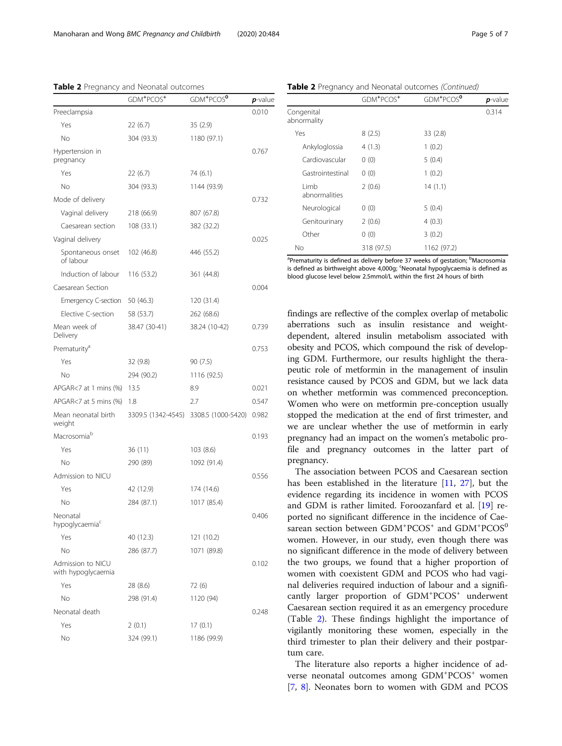|                                         | GDM <sup>+</sup> PCOS <sup>+</sup> | GDM <sup>+</sup> PCOS <sup>O</sup> | p-value |
|-----------------------------------------|------------------------------------|------------------------------------|---------|
| Preeclampsia                            |                                    |                                    | 0.010   |
| Yes                                     | 22(6.7)                            | 35(2.9)                            |         |
| No                                      | 304 (93.3)                         | 1180 (97.1)                        |         |
| Hypertension in<br>pregnancy            |                                    |                                    | 0.767   |
| Yes                                     | 22(6.7)                            | 74 (6.1)                           |         |
| No                                      | 304 (93.3)                         | 1144 (93.9)                        |         |
| Mode of delivery                        |                                    |                                    | 0.732   |
| Vaginal delivery                        | 218 (66.9)                         | 807 (67.8)                         |         |
| Caesarean section                       | 108(33.1)                          | 382 (32.2)                         |         |
| Vaginal delivery                        |                                    |                                    | 0.025   |
| Spontaneous onset<br>of labour          | 102 (46.8)                         | 446 (55.2)                         |         |
| Induction of labour                     | 116 (53.2)                         | 361 (44.8)                         |         |
| Caesarean Section                       |                                    |                                    | 0.004   |
| <b>Emergency C-section</b>              | 50 (46.3)                          | 120 (31.4)                         |         |
| Elective C-section                      | 58 (53.7)                          | 262 (68.6)                         |         |
| Mean week of<br>Delivery                | 38.47 (30-41)                      | 38.24 (10-42)                      | 0.739   |
| Prematurity <sup>a</sup>                |                                    |                                    | 0.753   |
| Yes                                     | 32 (9.8)                           | 90(7.5)                            |         |
| No                                      | 294 (90.2)                         | 1116 (92.5)                        |         |
| APGAR<7 at 1 mins (%)                   | 13.5                               | 8.9                                | 0.021   |
| APGAR<7 at 5 mins (%)                   | 1.8                                | 2.7                                | 0.547   |
| Mean neonatal birth<br>weight           | 3309.5 (1342-4545)                 | 3308.5 (1000-5420)                 | 0.982   |
| Macrosomia <sup>b</sup>                 |                                    |                                    | 0.193   |
| Yes                                     | 36 (11)                            | 103 (8.6)                          |         |
| No                                      | 290 (89)                           | 1092 (91.4)                        |         |
| Admission to NICU                       |                                    |                                    | 0.556   |
| Yes                                     | 42 (12.9)                          | 174 (14.6)                         |         |
| No                                      | 284 (87.1)                         | 1017 (85.4)                        |         |
| Neonatal<br>hypoglycaemia <sup>c</sup>  |                                    |                                    | 0.406   |
| Yes                                     | 40 (12.3)                          | 121 (10.2)                         |         |
| No                                      | 286 (87.7)                         | 1071 (89.8)                        |         |
| Admission to NICU<br>with hypoglycaemia |                                    |                                    | 0.102   |
| Yes                                     | 28 (8.6)                           | 72 (6)                             |         |
| No                                      | 298 (91.4)                         | 1120 (94)                          |         |
| Neonatal death                          |                                    |                                    | 0.248   |
| Yes                                     | 2(0.1)                             | 17(0.1)                            |         |
| No                                      | 324 (99.1)                         | 1186 (99.9)                        |         |
|                                         |                                    |                                    |         |

<span id="page-4-0"></span>Table 2 Pregnancy and Neonatal outcomes

Table 2 Pregnancy and Neonatal outcomes (Continued)

|                           | GDM <sup>+</sup> PCOS <sup>+</sup> |             | $p$ -value |  |
|---------------------------|------------------------------------|-------------|------------|--|
| Congenital<br>abnormality |                                    |             | 0.314      |  |
| Yes                       | 8(2.5)                             | 33(2.8)     |            |  |
| Ankyloglossia             | 4(1.3)                             | 1(0.2)      |            |  |
| Cardiovascular            | 0(0)                               | 5(0.4)      |            |  |
| Gastrointestinal          | 0(0)                               | 1(0.2)      |            |  |
| I imb<br>abnormalities    | 2(0.6)                             | 14(1.1)     |            |  |
| Neurological              | 0(0)                               | 5(0.4)      |            |  |
| Genitourinary             | 2(0.6)                             | 4(0.3)      |            |  |
| Other                     | 0(0)                               | 3(0.2)      |            |  |
| No                        | 318 (97.5)                         | 1162 (97.2) |            |  |

<sup>a</sup>Prematurity is defined as delivery before 37 weeks of gestation; <sup>b</sup>Macrosomia is defined as birthweight above 4,000g; 'Neonatal hypoglycaemia is defined as blood glucose level below 2.5mmol/L within the first 24 hours of birth

findings are reflective of the complex overlap of metabolic aberrations such as insulin resistance and weightdependent, altered insulin metabolism associated with obesity and PCOS, which compound the risk of developing GDM. Furthermore, our results highlight the therapeutic role of metformin in the management of insulin resistance caused by PCOS and GDM, but we lack data on whether metformin was commenced preconception. Women who were on metformin pre-conception usually stopped the medication at the end of first trimester, and we are unclear whether the use of metformin in early pregnancy had an impact on the women's metabolic profile and pregnancy outcomes in the latter part of pregnancy.

The association between PCOS and Caesarean section has been established in the literature [\[11,](#page-6-0) [27\]](#page-6-0), but the evidence regarding its incidence in women with PCOS and GDM is rather limited. Foroozanfard et al. [\[19\]](#page-6-0) reported no significant difference in the incidence of Caesarean section between  $GDM^+PCOS^+$  and  $GDM^+PCOS^0$ women. However, in our study, even though there was no significant difference in the mode of delivery between the two groups, we found that a higher proportion of women with coexistent GDM and PCOS who had vaginal deliveries required induction of labour and a significantly larger proportion of GDM<sup>+</sup>PCOS<sup>+</sup> underwent Caesarean section required it as an emergency procedure (Table 2). These findings highlight the importance of vigilantly monitoring these women, especially in the third trimester to plan their delivery and their postpartum care.

The literature also reports a higher incidence of adverse neonatal outcomes among GDM<sup>+</sup>PCOS<sup>+</sup> women [[7,](#page-6-0) [8\]](#page-6-0). Neonates born to women with GDM and PCOS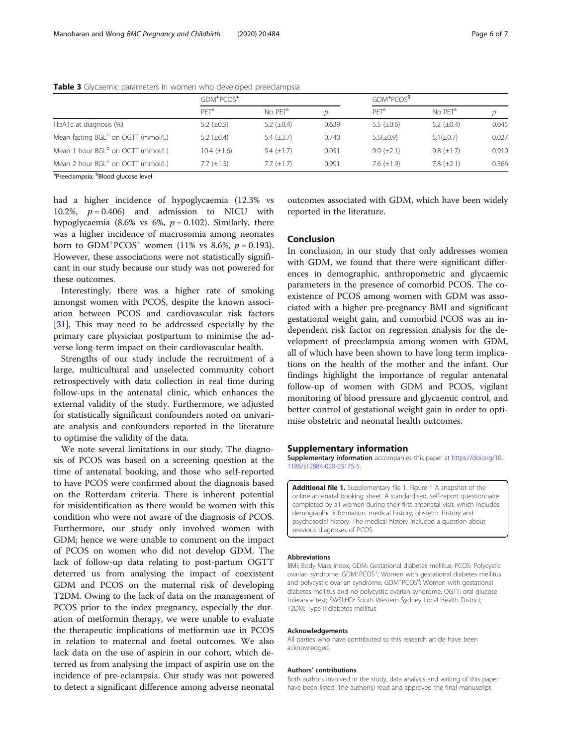|                                                | GDM <sup>+</sup> PCOS <sup>+</sup> |                   |       |                   | GDM <sup>+</sup> PCOS <sup>0</sup> |       |  |
|------------------------------------------------|------------------------------------|-------------------|-------|-------------------|------------------------------------|-------|--|
|                                                | PFT <sup>a</sup>                   | $No$ $PFTa$       |       | PFT <sup>a</sup>  | No PFT <sup>a</sup>                |       |  |
| HbA1c at diagnosis (%)                         | 5.2 $(\pm 0.5)$                    | 5.2 $(\pm 0.4)$   | 0.639 | 5.5 $(\pm 0.6)$   | 5.2 $(\pm 0.4)$                    | 0.045 |  |
| Mean fasting BGL <sup>b</sup> on OGTT (mmol/L) | 5.2 $(\pm 0.4)$                    | 5.4 $(\pm 3.7)$   | 0.740 | $5.5(\pm 0.9)$    | $5.1(\pm 0.7)$                     | 0.027 |  |
| Mean 1 hour BGL <sup>b</sup> on OGTT (mmol/L)  | $10.4 (\pm 1.6)$                   | $9.4 \ (\pm 1.7)$ | 0.051 | $9.9 \ (\pm 2.1)$ | $9.8 \ (\pm 1.7)$                  | 0.910 |  |
| Mean 2 hour BGL <sup>b</sup> on OGTT (mmol/L)  | 7.7 $(\pm 1.5)$                    | $7.7 (\pm 1.7)$   | 0.991 | $7.6 \ (\pm 1.9)$ | $7.8~(\pm 2.1)$                    | 0.566 |  |
|                                                |                                    |                   |       |                   |                                    |       |  |

<span id="page-5-0"></span>Table 3 Glycaemic parameters in women who developed preeclampsia

<sup>a</sup>Preeclampsia; <sup>b</sup>Blood glucose level

had a higher incidence of hypoglycaemia (12.3% vs 10.2%,  $p = 0.406$ ) and admission to NICU with hypoglycaemia (8.6% vs 6%,  $p = 0.102$ ). Similarly, there was a higher incidence of macrosomia among neonates born to  $GDM^+PCOS^+$  women (11% vs 8.6%,  $p = 0.193$ ). However, these associations were not statistically significant in our study because our study was not powered for these outcomes.

Interestingly, there was a higher rate of smoking amongst women with PCOS, despite the known association between PCOS and cardiovascular risk factors [[31\]](#page-6-0). This may need to be addressed especially by the primary care physician postpartum to minimise the adverse long-term impact on their cardiovascular health.

Strengths of our study include the recruitment of a large, multicultural and unselected community cohort retrospectively with data collection in real time during follow-ups in the antenatal clinic, which enhances the external validity of the study. Furthermore, we adjusted for statistically significant confounders noted on univariate analysis and confounders reported in the literature to optimise the validity of the data.

We note several limitations in our study. The diagnosis of PCOS was based on a screening question at the time of antenatal booking, and those who self-reported to have PCOS were confirmed about the diagnosis based on the Rotterdam criteria. There is inherent potential for misidentification as there would be women with this condition who were not aware of the diagnosis of PCOS. Furthermore, our study only involved women with GDM; hence we were unable to comment on the impact of PCOS on women who did not develop GDM. The lack of follow-up data relating to post-partum OGTT deterred us from analysing the impact of coexistent GDM and PCOS on the maternal risk of developing T2DM. Owing to the lack of data on the management of PCOS prior to the index pregnancy, especially the duration of metformin therapy, we were unable to evaluate the therapeutic implications of metformin use in PCOS in relation to maternal and foetal outcomes. We also lack data on the use of aspirin in our cohort, which deterred us from analysing the impact of aspirin use on the incidence of pre-eclampsia. Our study was not powered to detect a significant difference among adverse neonatal outcomes associated with GDM, which have been widely reported in the literature.

## Conclusion

In conclusion, in our study that only addresses women with GDM, we found that there were significant differences in demographic, anthropometric and glycaemic parameters in the presence of comorbid PCOS. The coexistence of PCOS among women with GDM was associated with a higher pre-pregnancy BMI and significant gestational weight gain, and comorbid PCOS was an independent risk factor on regression analysis for the development of preeclampsia among women with GDM, all of which have been shown to have long term implications on the health of the mother and the infant. Our findings highlight the importance of regular antenatal follow-up of women with GDM and PCOS, vigilant monitoring of blood pressure and glycaemic control, and better control of gestational weight gain in order to optimise obstetric and neonatal health outcomes.

#### Supplementary information

Supplementary information accompanies this paper at [https://doi.org/10.](https://doi.org/10.1186/s12884-020-03175-5) [1186/s12884-020-03175-5](https://doi.org/10.1186/s12884-020-03175-5).

Additional file 1. Supplementary file 1. Figure 1 A snapshot of the online antenatal booking sheet. A standardised, self-report questionnaire completed by all women during their first antenatal visit, which includes demographic information, medical history, obstetric history and psychosocial history. The medical history included a question about previous diagnoses of PCOS.

#### Abbreviations

BMI: Body Mass Index; GDM: Gestational diabetes mellitus; PCOS: Polycystic ovarian syndrome; GDM<sup>+</sup>PCOS<sup>+</sup>: Women with gestational diabetes mellitus and polycystic ovarian syndrome; GDM<sup>+</sup>PCOS<sup>0</sup>: Women with gestational diabetes mellitus and no polycystic ovarian syndrome; OGTT: oral glucose tolerance test; SWSLHD: South Western Sydney Local Health District; T2DM: Type II diabetes mellitus

#### Acknowledgements

All parties who have contributed to this research article have been acknowledged.

#### Authors' contributions

Both authors involved in the study, data analysis and writing of this paper have been listed. The author(s) read and approved the final manuscript.